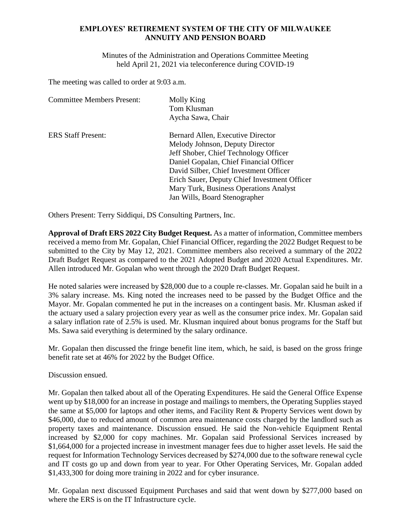## **EMPLOYES' RETIREMENT SYSTEM OF THE CITY OF MILWAUKEE ANNUITY AND PENSION BOARD**

Minutes of the Administration and Operations Committee Meeting held April 21, 2021 via teleconference during COVID-19

The meeting was called to order at 9:03 a.m.

| <b>Committee Members Present:</b> | Molly King                                   |
|-----------------------------------|----------------------------------------------|
|                                   | Tom Klusman                                  |
|                                   | Aycha Sawa, Chair                            |
| <b>ERS Staff Present:</b>         | Bernard Allen, Executive Director            |
|                                   | Melody Johnson, Deputy Director              |
|                                   | Jeff Shober, Chief Technology Officer        |
|                                   | Daniel Gopalan, Chief Financial Officer      |
|                                   | David Silber, Chief Investment Officer       |
|                                   | Erich Sauer, Deputy Chief Investment Officer |
|                                   | Mary Turk, Business Operations Analyst       |
|                                   | Jan Wills, Board Stenographer                |

Others Present: Terry Siddiqui, DS Consulting Partners, Inc.

**Approval of Draft ERS 2022 City Budget Request.** As a matter of information, Committee members received a memo from Mr. Gopalan, Chief Financial Officer, regarding the 2022 Budget Request to be submitted to the City by May 12, 2021. Committee members also received a summary of the 2022 Draft Budget Request as compared to the 2021 Adopted Budget and 2020 Actual Expenditures. Mr. Allen introduced Mr. Gopalan who went through the 2020 Draft Budget Request.

He noted salaries were increased by \$28,000 due to a couple re-classes. Mr. Gopalan said he built in a 3% salary increase. Ms. King noted the increases need to be passed by the Budget Office and the Mayor. Mr. Gopalan commented he put in the increases on a contingent basis. Mr. Klusman asked if the actuary used a salary projection every year as well as the consumer price index. Mr. Gopalan said a salary inflation rate of 2.5% is used. Mr. Klusman inquired about bonus programs for the Staff but Ms. Sawa said everything is determined by the salary ordinance.

Mr. Gopalan then discussed the fringe benefit line item, which, he said, is based on the gross fringe benefit rate set at 46% for 2022 by the Budget Office.

Discussion ensued.

Mr. Gopalan then talked about all of the Operating Expenditures. He said the General Office Expense went up by \$18,000 for an increase in postage and mailings to members, the Operating Supplies stayed the same at \$5,000 for laptops and other items, and Facility Rent & Property Services went down by \$46,000, due to reduced amount of common area maintenance costs charged by the landlord such as property taxes and maintenance. Discussion ensued. He said the Non-vehicle Equipment Rental increased by \$2,000 for copy machines. Mr. Gopalan said Professional Services increased by \$1,664,000 for a projected increase in investment manager fees due to higher asset levels. He said the request for Information Technology Services decreased by \$274,000 due to the software renewal cycle and IT costs go up and down from year to year. For Other Operating Services, Mr. Gopalan added \$1,433,300 for doing more training in 2022 and for cyber insurance.

Mr. Gopalan next discussed Equipment Purchases and said that went down by \$277,000 based on where the ERS is on the IT Infrastructure cycle.